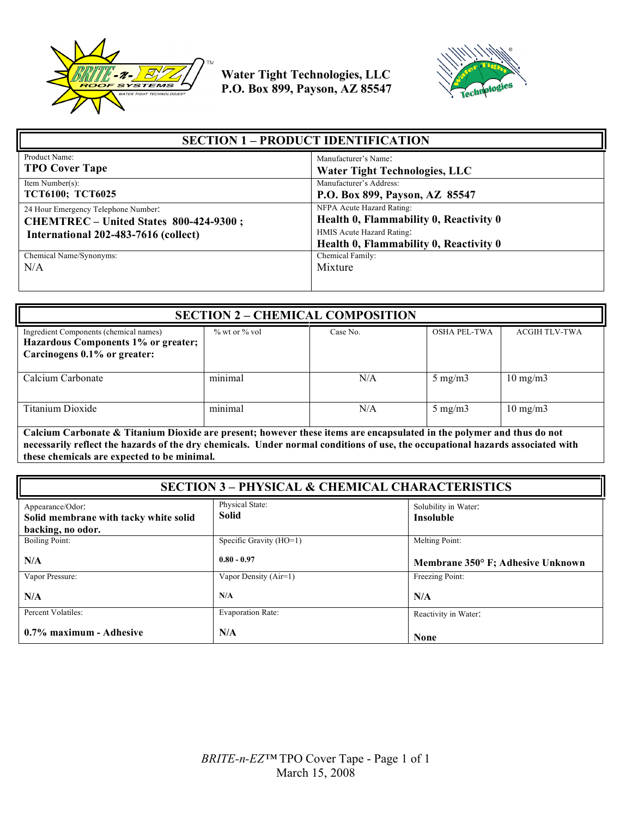



| <b>SECTION 1 - PRODUCT IDENTIFICATION</b> |                                                                     |
|-------------------------------------------|---------------------------------------------------------------------|
| Product Name:                             | Manufacturer's Name:                                                |
| <b>TPO Cover Tape</b>                     | <b>Water Tight Technologies, LLC</b>                                |
| Item Number(s):                           | Manufacturer's Address:                                             |
| <b>TCT6100; TCT6025</b>                   | P.O. Box 899, Payson, AZ 85547                                      |
| 24 Hour Emergency Telephone Number:       | NFPA Acute Hazard Rating:                                           |
| CHEMTREC - United States 800-424-9300;    | Health 0, Flammability 0, Reactivity 0                              |
| International 202-483-7616 (collect)      | HMIS Acute Hazard Rating:<br>Health 0, Flammability 0, Reactivity 0 |
| Chemical Name/Synonyms:                   | Chemical Family:                                                    |
| N/A                                       | Mixture                                                             |

| <b>SECTION 2 - CHEMICAL COMPOSITION</b>                                                                       |                     |          |                     |                      |
|---------------------------------------------------------------------------------------------------------------|---------------------|----------|---------------------|----------------------|
| Ingredient Components (chemical names)<br>Hazardous Components 1% or greater;<br>Carcinogens 0.1% or greater: | $\%$ wt or $\%$ vol | Case No. | <b>OSHA PEL-TWA</b> | <b>ACGIH TLV-TWA</b> |
| Calcium Carbonate                                                                                             | minimal             | N/A      | $5 \text{ mg/m}$    | $10 \text{ mg/m}$    |
| Titanium Dioxide                                                                                              | minimal             | N/A      | $5 \text{ mg/m}$    | $10 \text{ mg/m}$    |

**Calcium Carbonate & Titanium Dioxide are present; however these items are encapsulated in the polymer and thus do not necessarily reflect the hazards of the dry chemicals. Under normal conditions of use, the occupational hazards associated with these chemicals are expected to be minimal.**

| <b>SECTION 3 - PHYSICAL &amp; CHEMICAL CHARACTERISTICS</b>                     |                                 |                                          |
|--------------------------------------------------------------------------------|---------------------------------|------------------------------------------|
| Appearance/Odor:<br>Solid membrane with tacky white solid<br>backing, no odor. | Physical State:<br><b>Solid</b> | Solubility in Water:<br><b>Insoluble</b> |
| <b>Boiling Point:</b>                                                          | Specific Gravity (HO=1)         | Melting Point:                           |
| N/A                                                                            | $0.80 - 0.97$                   | Membrane 350° F; Adhesive Unknown        |
| Vapor Pressure:                                                                | Vapor Density (Air=1)           | Freezing Point:                          |
| N/A                                                                            | N/A                             | N/A                                      |
| Percent Volatiles:                                                             | <b>Evaporation Rate:</b>        | Reactivity in Water:                     |
| 0.7% maximum - Adhesive                                                        | N/A                             | <b>None</b>                              |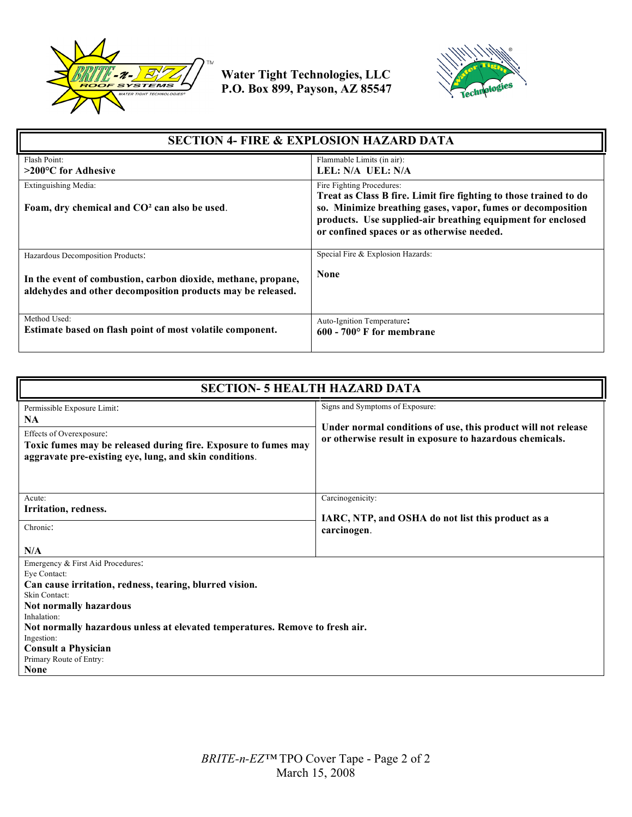



| <b>SECTION 4- FIRE &amp; EXPLOSION HAZARD DATA</b>                                                                           |                                                                                                                                                                                                                                                                            |  |
|------------------------------------------------------------------------------------------------------------------------------|----------------------------------------------------------------------------------------------------------------------------------------------------------------------------------------------------------------------------------------------------------------------------|--|
| Flash Point:<br>$>200^{\circ}$ C for Adhesive                                                                                | Flammable Limits (in air):<br>LEL: N/A UEL: N/A                                                                                                                                                                                                                            |  |
|                                                                                                                              |                                                                                                                                                                                                                                                                            |  |
| Extinguishing Media:<br>Foam, dry chemical and CO <sup>2</sup> can also be used.                                             | Fire Fighting Procedures:<br>Treat as Class B fire. Limit fire fighting to those trained to do<br>so. Minimize breathing gases, vapor, fumes or decomposition<br>products. Use supplied-air breathing equipment for enclosed<br>or confined spaces or as otherwise needed. |  |
| Hazardous Decomposition Products:                                                                                            | Special Fire & Explosion Hazards:                                                                                                                                                                                                                                          |  |
| In the event of combustion, carbon dioxide, methane, propane,<br>aldehydes and other decomposition products may be released. | <b>None</b>                                                                                                                                                                                                                                                                |  |
| Method Used:<br>Estimate based on flash point of most volatile component.                                                    | Auto-Ignition Temperature:<br>$600 - 700$ F for membrane                                                                                                                                                                                                                   |  |

| <b>SECTION- 5 HEALTH HAZARD DATA</b>                                                                                                                                                                                                                                                                                                                |                                                                                                                                                             |  |
|-----------------------------------------------------------------------------------------------------------------------------------------------------------------------------------------------------------------------------------------------------------------------------------------------------------------------------------------------------|-------------------------------------------------------------------------------------------------------------------------------------------------------------|--|
| Permissible Exposure Limit:<br><b>NA</b><br>Effects of Overexposure:<br>Toxic fumes may be released during fire. Exposure to fumes may<br>aggravate pre-existing eye, lung, and skin conditions.                                                                                                                                                    | Signs and Symptoms of Exposure:<br>Under normal conditions of use, this product will not release<br>or otherwise result in exposure to hazardous chemicals. |  |
| Acute:<br>Irritation, redness.<br>Chronic:<br>N/A                                                                                                                                                                                                                                                                                                   | Carcinogenicity:<br>IARC, NTP, and OSHA do not list this product as a<br>carcinogen.                                                                        |  |
| Emergency & First Aid Procedures:<br>Eve Contact:<br>Can cause irritation, redness, tearing, blurred vision.<br>Skin Contact:<br><b>Not normally hazardous</b><br>Inhalation:<br>Not normally hazardous unless at elevated temperatures. Remove to fresh air.<br>Ingestion:<br><b>Consult a Physician</b><br>Primary Route of Entry:<br><b>None</b> |                                                                                                                                                             |  |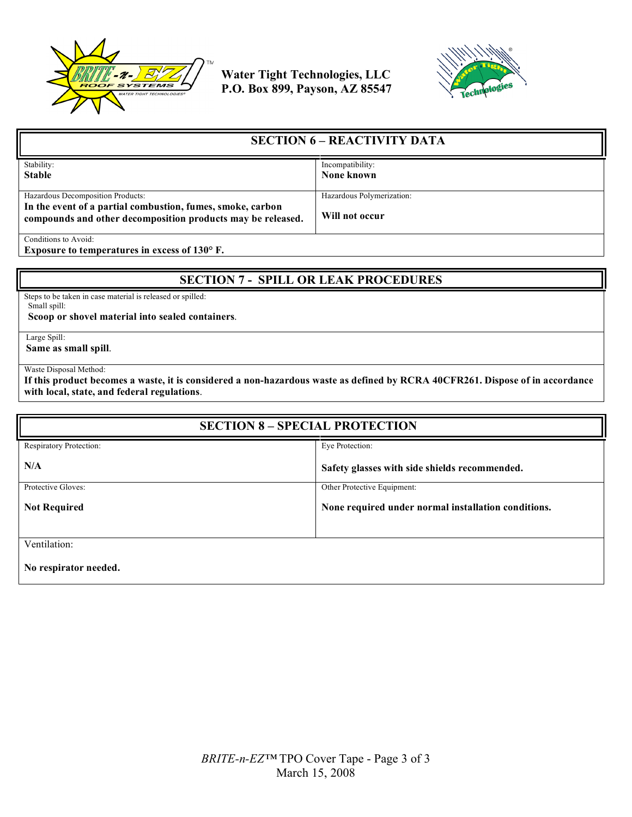



| <b>SECTION 6 – REACTIVITY DATA</b>                                                                                        |                           |
|---------------------------------------------------------------------------------------------------------------------------|---------------------------|
| Stability:                                                                                                                | Incompatibility:          |
| <b>Stable</b>                                                                                                             | None known                |
|                                                                                                                           |                           |
| Hazardous Decomposition Products:                                                                                         | Hazardous Polymerization: |
| In the event of a partial combustion, fumes, smoke, carbon<br>compounds and other decomposition products may be released. | Will not occur            |
| Conditions to Avoid:                                                                                                      |                           |

**Exposure to temperatures in excess of 130° F.**

## **SECTION 7 - SPILL OR LEAK PROCEDURES**

Steps to be taken in case material is released or spilled: Small spill:

 **Scoop or shovel material into sealed containers**.

Large Spill:

**Same as small spill**.

Waste Disposal Method:

**If this product becomes a waste, it is considered a non-hazardous waste as defined by RCRA 40CFR261. Dispose of in accordance with local, state, and federal regulations**.

| <b>SECTION 8 - SPECIAL PROTECTION</b> |                                                     |  |
|---------------------------------------|-----------------------------------------------------|--|
| Respiratory Protection:               | Eye Protection:                                     |  |
| N/A                                   | Safety glasses with side shields recommended.       |  |
| Protective Gloves:                    | Other Protective Equipment:                         |  |
| <b>Not Required</b>                   | None required under normal installation conditions. |  |
| Ventilation:<br>No respirator needed. |                                                     |  |